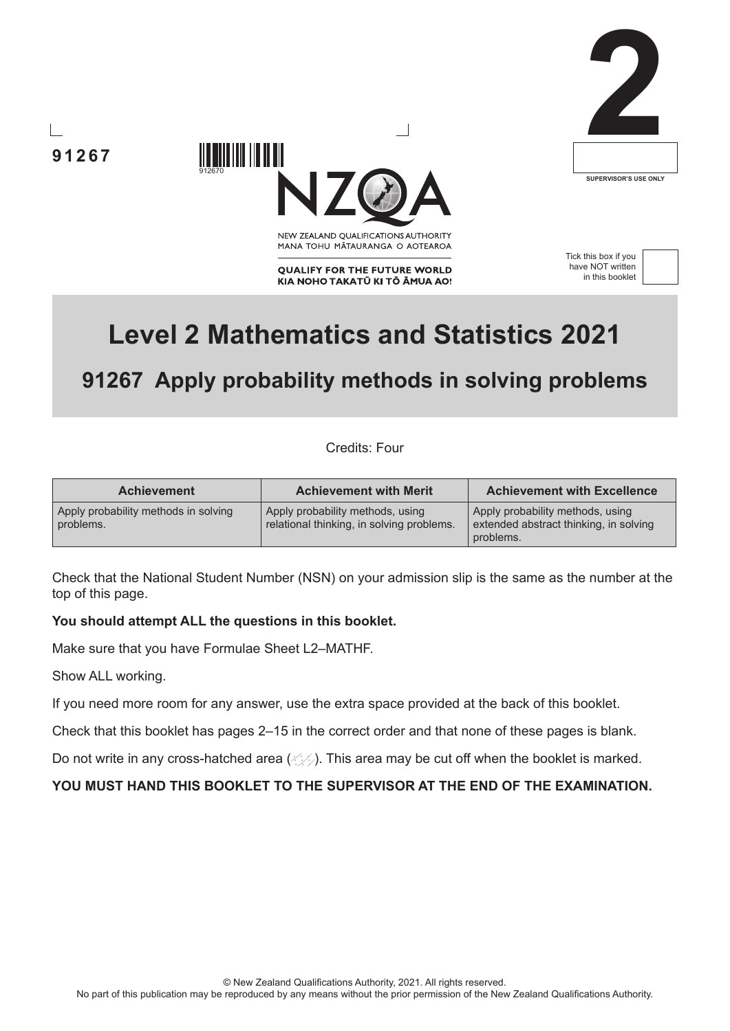





NEW ZEALAND OUALIFICATIONS AUTHORITY MANA TOHU MATAURANGA O AOTEAROA

**QUALIFY FOR THE FUTURE WORLD** KIA NOHO TAKATŪ KI TŌ ĀMUA AO! Tick this box if you have NOT written in this booklet



# **Level 2 Mathematics and Statistics 2021**

## **91267 Apply probability methods in solving problems**

Credits: Four

| <b>Achievement</b>                                | <b>Achievement with Merit</b>                                                 | <b>Achievement with Excellence</b>                                                      |
|---------------------------------------------------|-------------------------------------------------------------------------------|-----------------------------------------------------------------------------------------|
| Apply probability methods in solving<br>problems. | Apply probability methods, using<br>relational thinking, in solving problems. | Apply probability methods, using<br>extended abstract thinking, in solving<br>problems. |

Check that the National Student Number (NSN) on your admission slip is the same as the number at the top of this page.

#### **You should attempt ALL the questions in this booklet.**

Make sure that you have Formulae Sheet L2–MATHF.

912670

Show ALL working.

If you need more room for any answer, use the extra space provided at the back of this booklet.

Check that this booklet has pages 2–15 in the correct order and that none of these pages is blank.

Do not write in any cross-hatched area  $(\angle \angle)$ . This area may be cut off when the booklet is marked.

**YOU MUST HAND THIS BOOKLET TO THE SUPERVISOR AT THE END OF THE EXAMINATION.**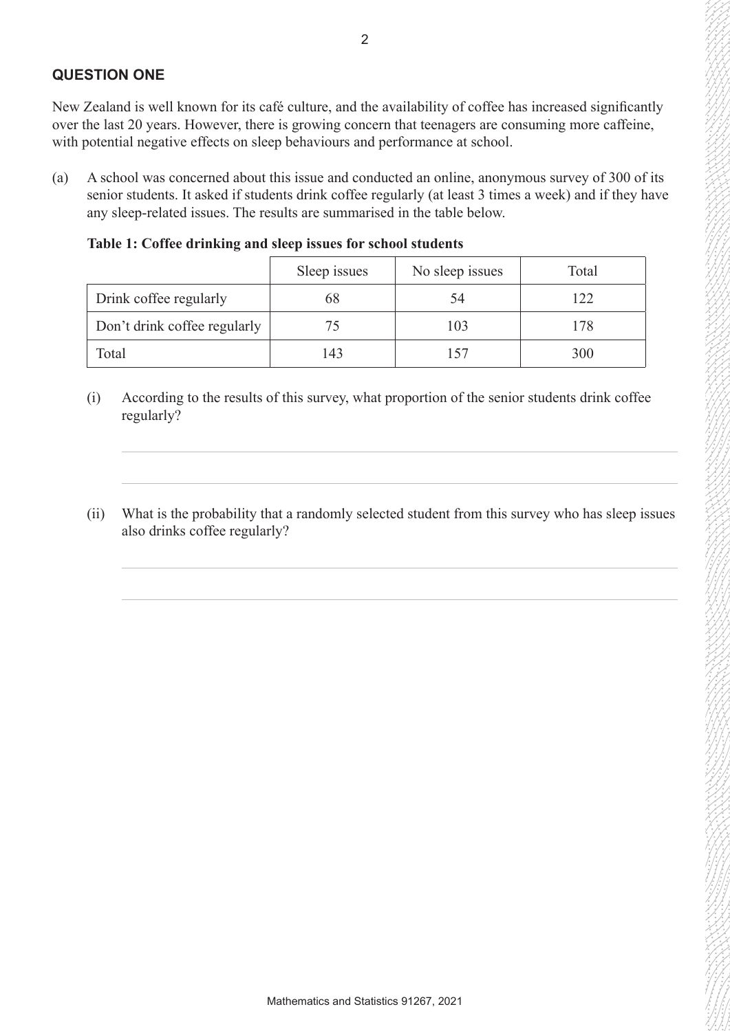#### **QUESTION ONE**

New Zealand is well known for its café culture, and the availability of coffee has increased significantly over the last 20 years. However, there is growing concern that teenagers are consuming more caffeine, with potential negative effects on sleep behaviours and performance at school.

(a) A school was concerned about this issue and conducted an online, anonymous survey of 300 of its senior students. It asked if students drink coffee regularly (at least 3 times a week) and if they have any sleep-related issues. The results are summarised in the table below.

**Table 1: Coffee drinking and sleep issues for school students**

|                              | Sleep issues | No sleep issues | Total |
|------------------------------|--------------|-----------------|-------|
| Drink coffee regularly       | 68           | 54              | 122   |
| Don't drink coffee regularly |              | 103             | 178   |
| Total                        | 143          | 57              | 300   |

- (i) According to the results of this survey, what proportion of the senior students drink coffee regularly?
- (ii) What is the probability that a randomly selected student from this survey who has sleep issues also drinks coffee regularly?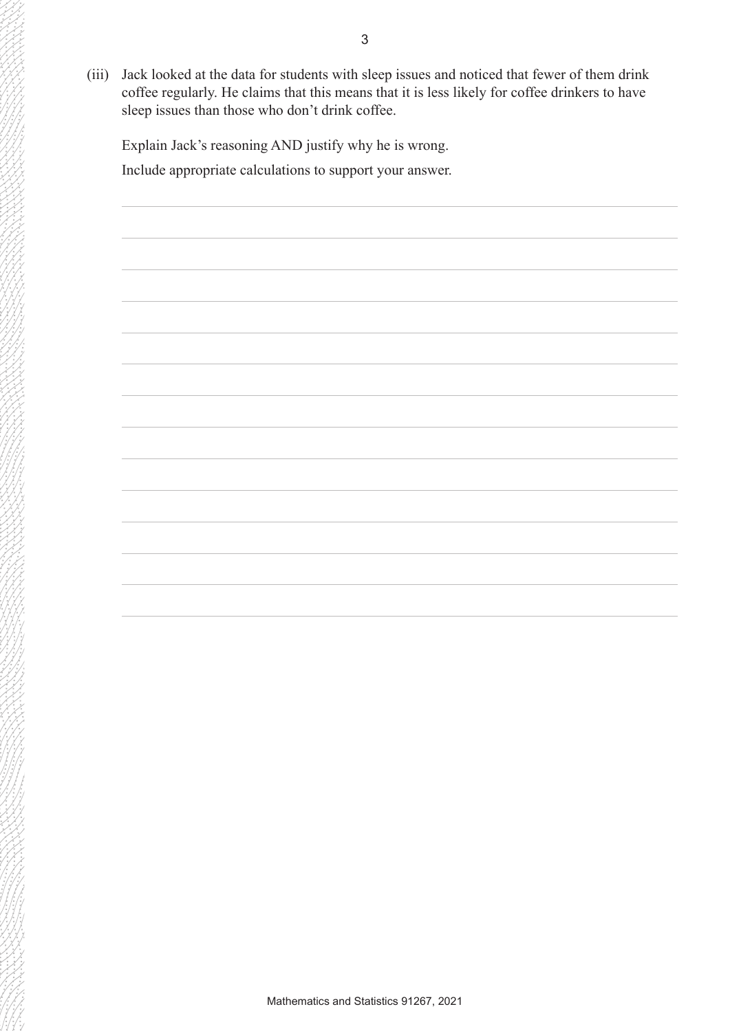(iii) Jack looked at the data for students with sleep issues and noticed that fewer of them drink coffee regularly. He claims that this means that it is less likely for coffee drinkers to have sleep issues than those who don't drink coffee.

Explain Jack's reasoning AND justify why he is wrong. Include appropriate calculations to support your answer.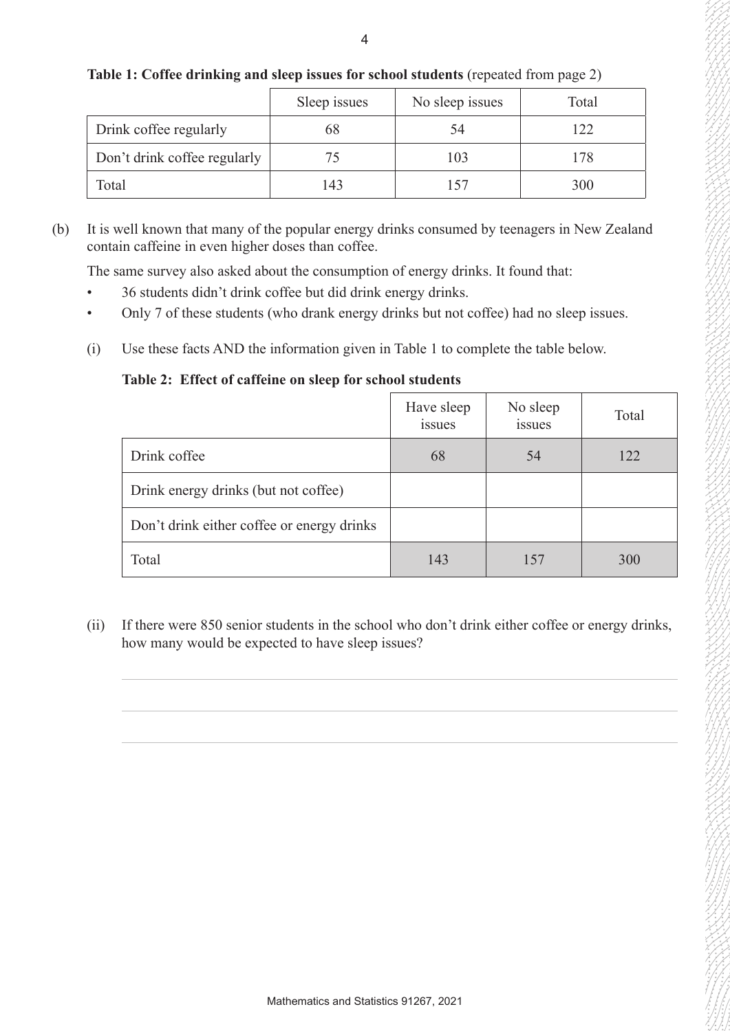|                              | Sleep issues | No sleep issues | Total |
|------------------------------|--------------|-----------------|-------|
| Drink coffee regularly       | 68           | 54              | 122   |
| Don't drink coffee regularly | 75           | 103             | 178   |
| Total                        | 143          | 57              | 300   |

#### **Table 1: Coffee drinking and sleep issues for school students** (repeated from page 2)

(b) It is well known that many of the popular energy drinks consumed by teenagers in New Zealand contain caffeine in even higher doses than coffee.

The same survey also asked about the consumption of energy drinks. It found that:

- 36 students didn't drink coffee but did drink energy drinks.
- Only 7 of these students (who drank energy drinks but not coffee) had no sleep issues.
- (i) Use these facts AND the information given in Table 1 to complete the table below.

## **Table 2: Effect of caffeine on sleep for school students**

|                                            | Have sleep<br><i>issues</i> | No sleep<br>issues | Total |
|--------------------------------------------|-----------------------------|--------------------|-------|
| Drink coffee                               | 68                          | 54                 | 122   |
| Drink energy drinks (but not coffee)       |                             |                    |       |
| Don't drink either coffee or energy drinks |                             |                    |       |
| Total                                      | 143                         | 157                | 300   |

(ii) If there were 850 senior students in the school who don't drink either coffee or energy drinks, how many would be expected to have sleep issues?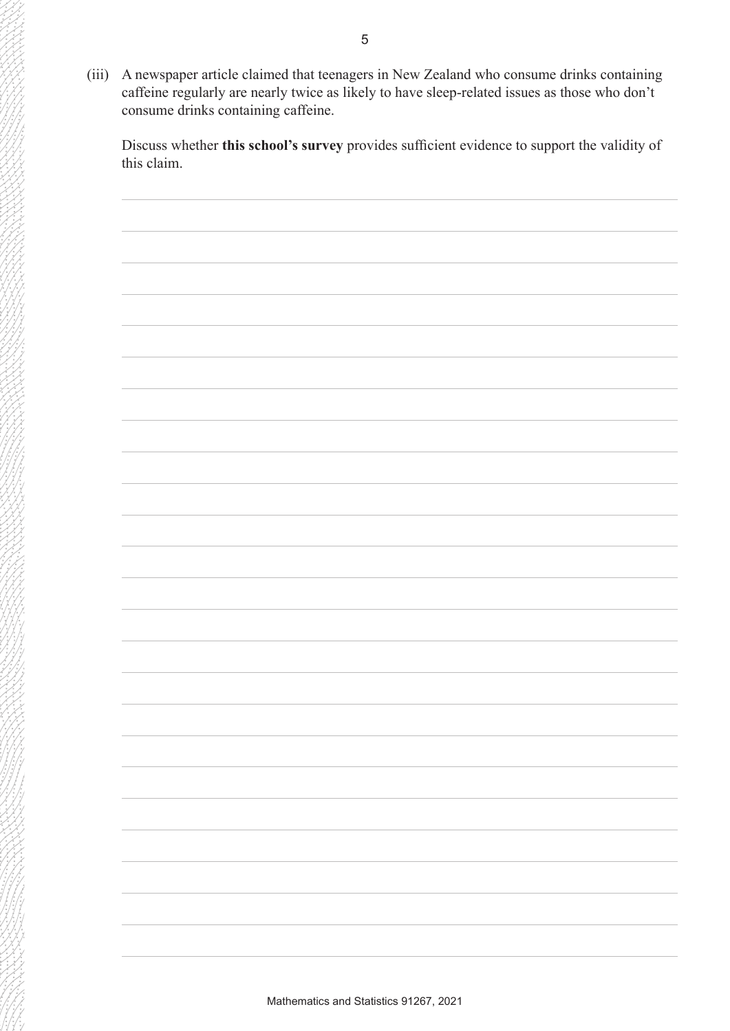(iii) A newspaper article claimed that teenagers in New Zealand who consume drinks containing caffeine regularly are nearly twice as likely to have sleep-related issues as those who don't consume drinks containing caffeine.

Discuss whether **this school's survey** provides sufficient evidence to support the validity of this claim.

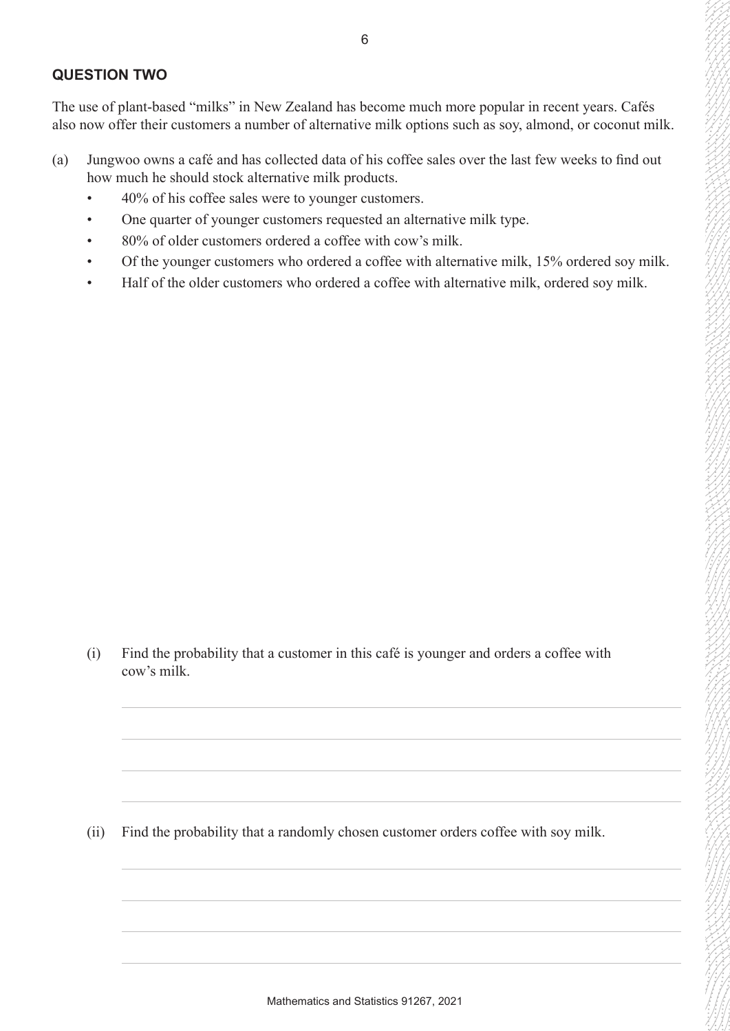#### **QUESTION TWO**

The use of plant-based "milks" in New Zealand has become much more popular in recent years. Cafés also now offer their customers a number of alternative milk options such as soy, almond, or coconut milk.

- (a) Jungwoo owns a café and has collected data of his coffee sales over the last few weeks to find out how much he should stock alternative milk products.
	- 40% of his coffee sales were to younger customers.
	- One quarter of younger customers requested an alternative milk type.
	- 80% of older customers ordered a coffee with cow's milk.
	- Of the younger customers who ordered a coffee with alternative milk, 15% ordered soy milk.
	- Half of the older customers who ordered a coffee with alternative milk, ordered soy milk.

(i) Find the probability that a customer in this café is younger and orders a coffee with cow's milk.

(ii) Find the probability that a randomly chosen customer orders coffee with soy milk.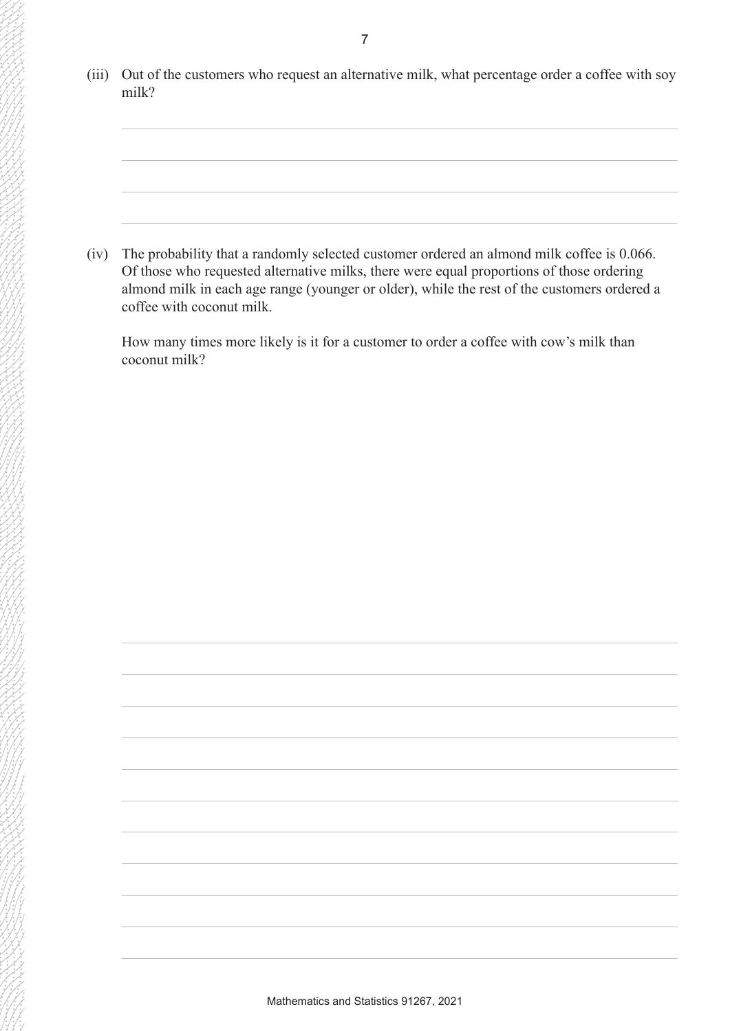(iii) Out of the customers who request an alternative milk, what percentage order a coffee with soy milk?

(iv) The probability that a randomly selected customer ordered an almond milk coffee is 0.066. Of those who requested alternative milks, there were equal proportions of those ordering almond milk in each age range (younger or older), while the rest of the customers ordered a coffee with coconut milk.

How many times more likely is it for a customer to order a coffee with cow's milk than coconut milk?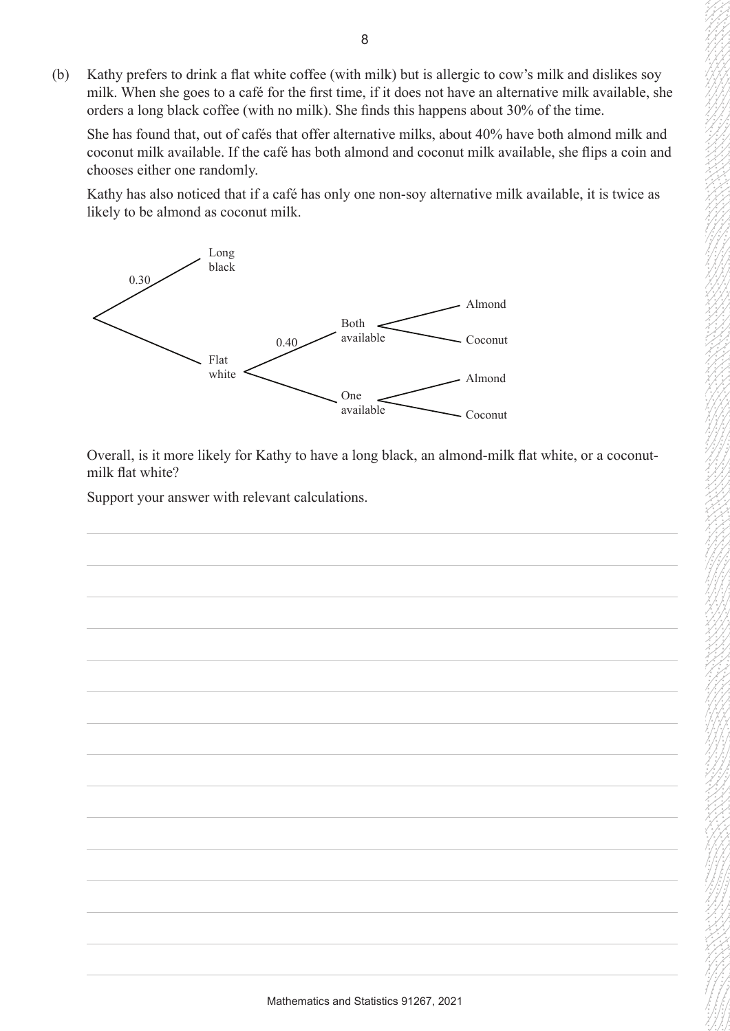(b) Kathy prefers to drink a flat white coffee (with milk) but is allergic to cow's milk and dislikes soy milk. When she goes to a café for the first time, if it does not have an alternative milk available, she orders a long black coffee (with no milk). She finds this happens about 30% of the time.

She has found that, out of cafés that offer alternative milks, about 40% have both almond milk and coconut milk available. If the café has both almond and coconut milk available, she flips a coin and chooses either one randomly.

Kathy has also noticed that if a café has only one non-soy alternative milk available, it is twice as likely to be almond as coconut milk.



Overall, is it more likely for Kathy to have a long black, an almond-milk flat white, or a coconutmilk flat white?

Support your answer with relevant calculations.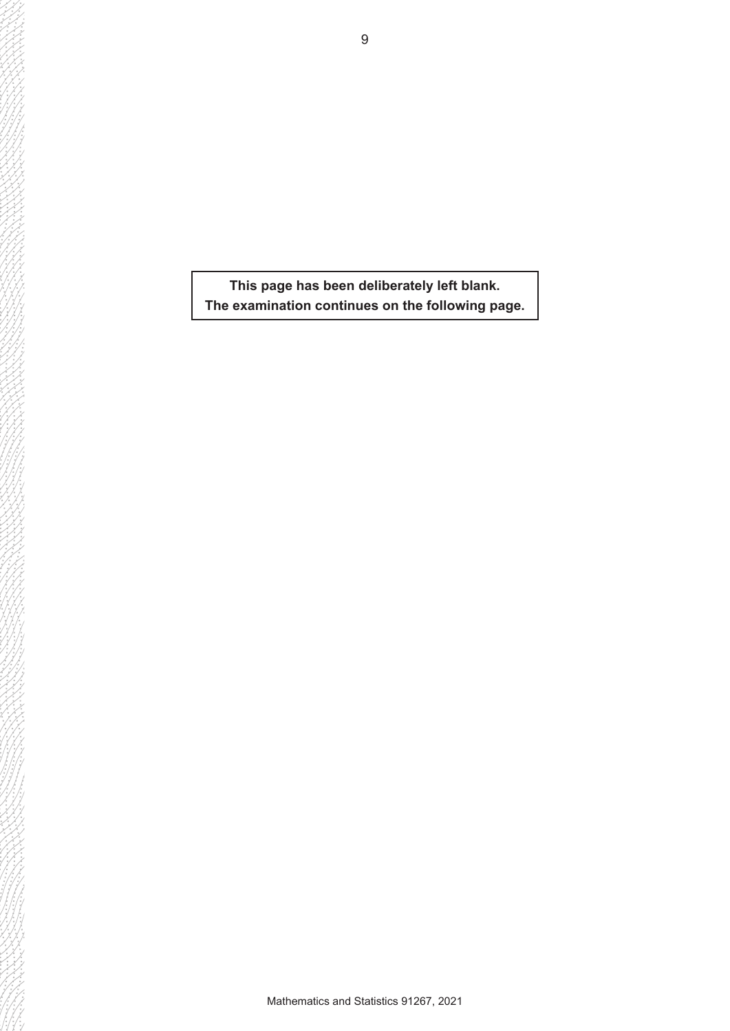**This page has been deliberately left blank. The examination continues on the following page.**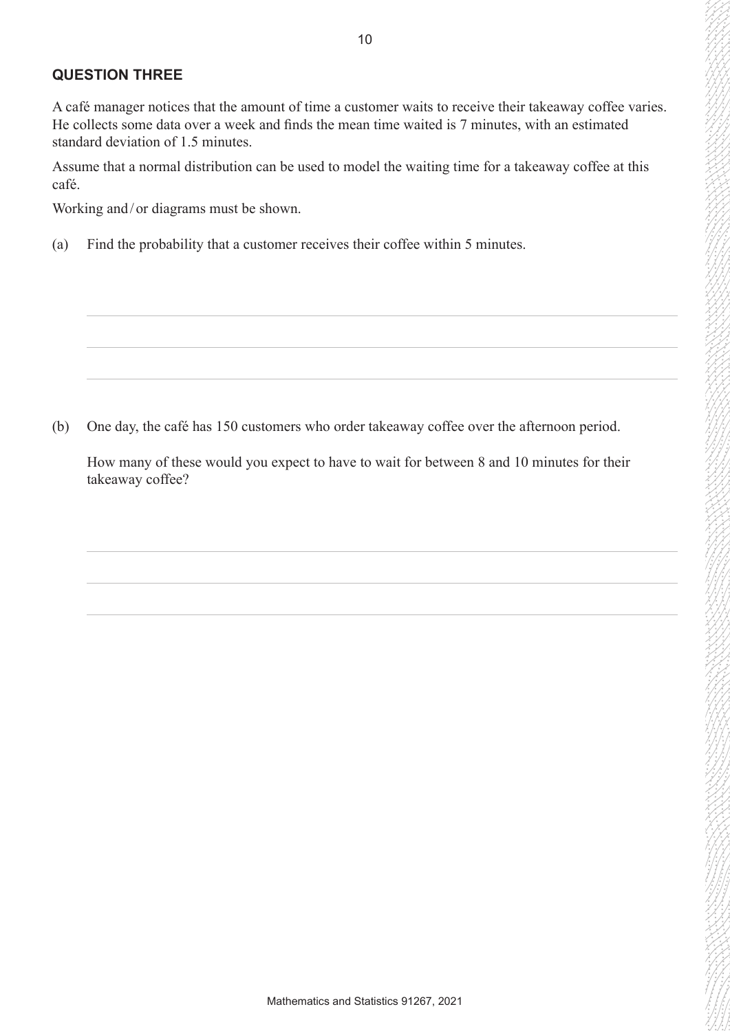## **QUESTION THREE**

A café manager notices that the amount of time a customer waits to receive their takeaway coffee varies. He collects some data over a week and finds the mean time waited is 7 minutes, with an estimated standard deviation of 1.5 minutes.

Assume that a normal distribution can be used to model the waiting time for a takeaway coffee at this café.

Working and/ or diagrams must be shown.

(a) Find the probability that a customer receives their coffee within 5 minutes.

(b) One day, the café has 150 customers who order takeaway coffee over the afternoon period.

How many of these would you expect to have to wait for between 8 and 10 minutes for their takeaway coffee?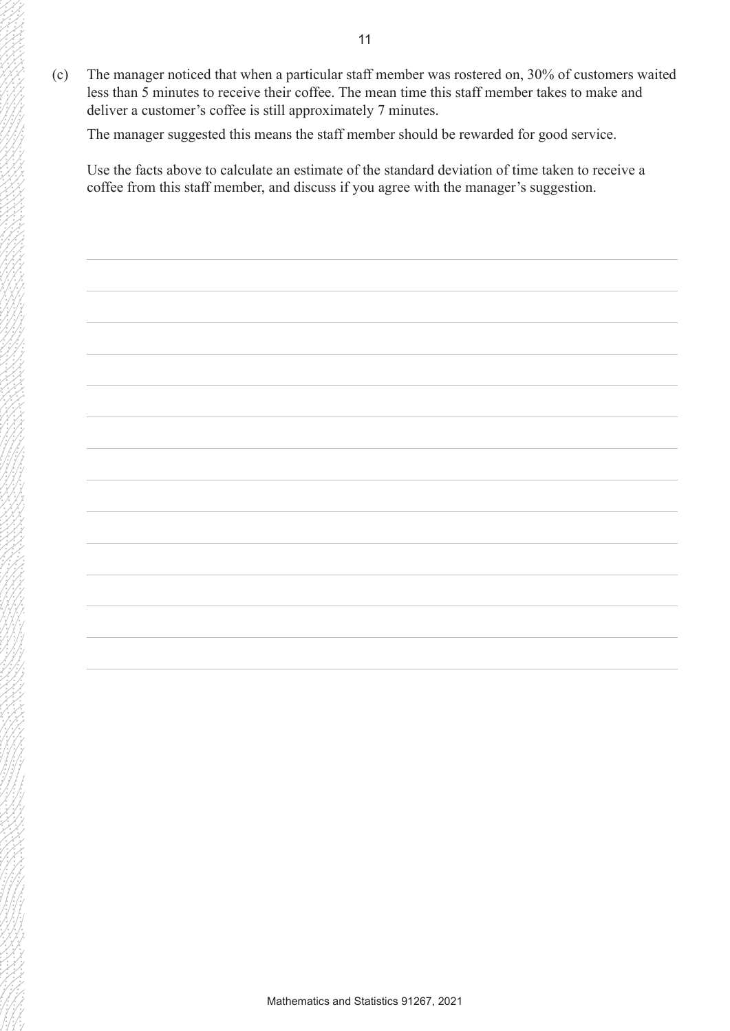(c) The manager noticed that when a particular staff member was rostered on, 30% of customers waited less than 5 minutes to receive their coffee. The mean time this staff member takes to make and deliver a customer's coffee is still approximately 7 minutes.

The manager suggested this means the staff member should be rewarded for good service.

Use the facts above to calculate an estimate of the standard deviation of time taken to receive a coffee from this staff member, and discuss if you agree with the manager's suggestion.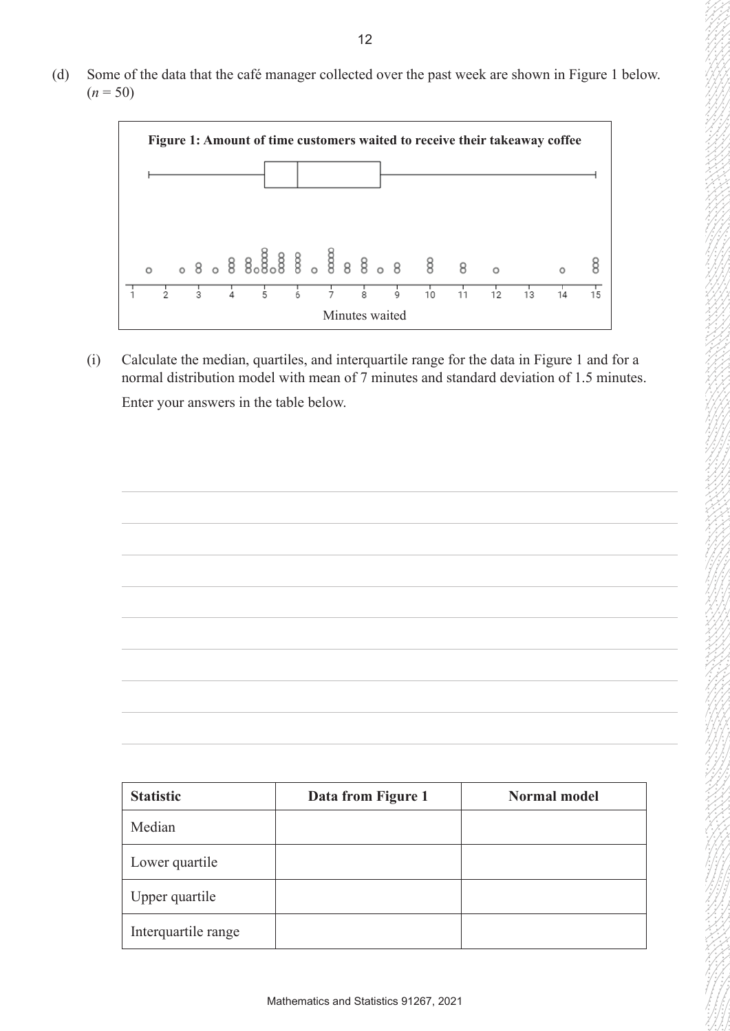(d) Some of the data that the café manager collected over the past week are shown in Figure 1 below.  $(n = 50)$ 



(i) Calculate the median, quartiles, and interquartile range for the data in Figure 1 and for a normal distribution model with mean of 7 minutes and standard deviation of 1.5 minutes. Enter your answers in the table below.



| <b>Statistic</b>    | Data from Figure 1 | <b>Normal model</b> |
|---------------------|--------------------|---------------------|
| Median              |                    |                     |
| Lower quartile      |                    |                     |
| Upper quartile      |                    |                     |
| Interquartile range |                    |                     |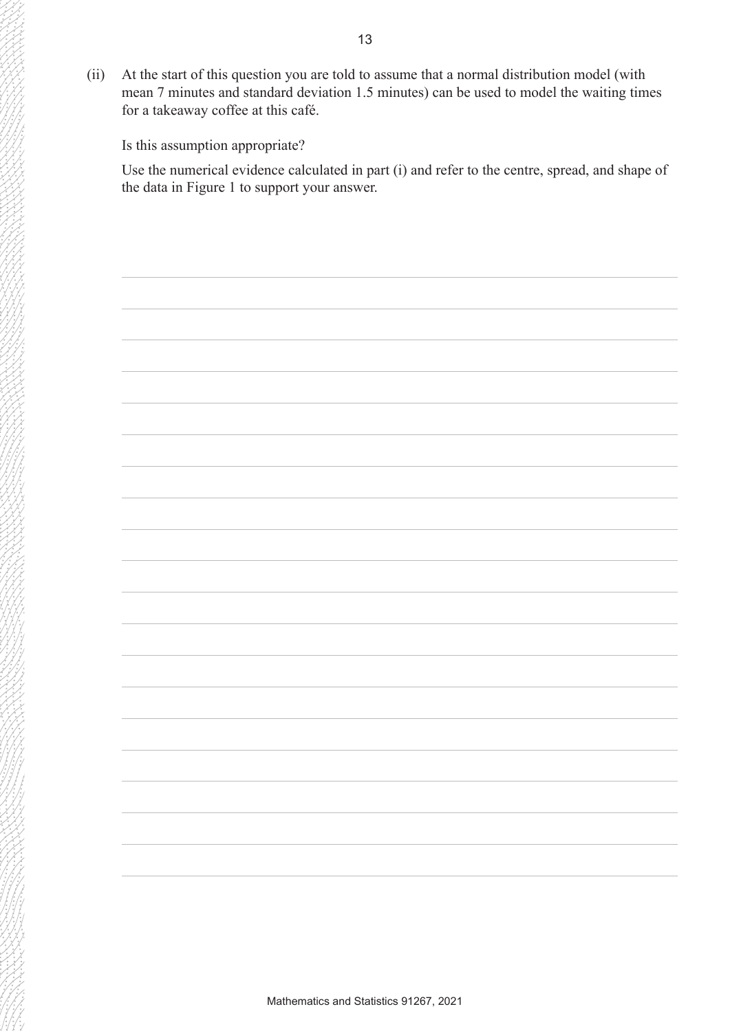(ii) At the start of this question you are told to assume that a normal distribution model (with mean 7 minutes and standard deviation 1.5 minutes) can be used to model the waiting times for a takeaway coffee at this café.

Is this assumption appropriate?

Use the numerical evidence calculated in part (i) and refer to the centre, spread, and shape of the data in Figure 1 to support your answer.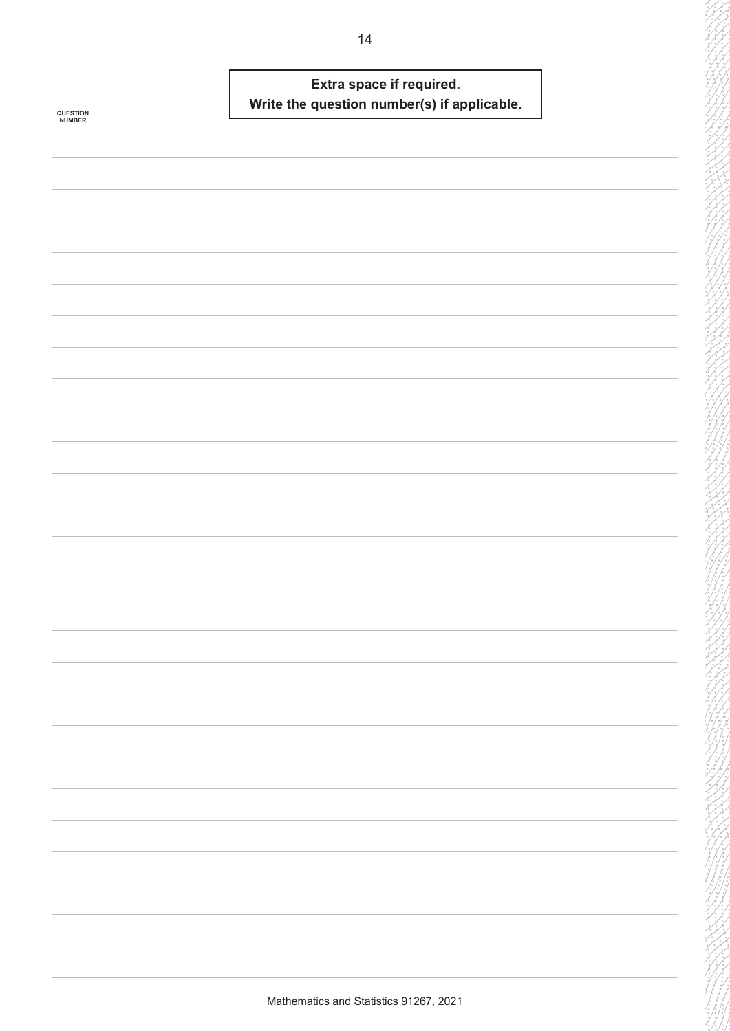|                            | Extra space if required.                    |  |
|----------------------------|---------------------------------------------|--|
|                            | Write the question number(s) if applicable. |  |
| <b>QUESTION<br/>NUMBER</b> |                                             |  |
|                            |                                             |  |
|                            |                                             |  |
|                            |                                             |  |
|                            |                                             |  |
|                            |                                             |  |
|                            |                                             |  |
|                            |                                             |  |
|                            |                                             |  |
|                            |                                             |  |
|                            |                                             |  |
|                            |                                             |  |
|                            |                                             |  |
|                            |                                             |  |
|                            |                                             |  |
|                            |                                             |  |
|                            |                                             |  |
|                            |                                             |  |
|                            |                                             |  |
|                            |                                             |  |
|                            |                                             |  |
|                            |                                             |  |
|                            |                                             |  |
|                            |                                             |  |
|                            |                                             |  |
|                            |                                             |  |
|                            |                                             |  |
|                            |                                             |  |
|                            |                                             |  |
|                            |                                             |  |
|                            |                                             |  |
|                            |                                             |  |
|                            |                                             |  |
|                            |                                             |  |
|                            |                                             |  |
|                            |                                             |  |
|                            |                                             |  |
|                            |                                             |  |
|                            |                                             |  |
|                            |                                             |  |
|                            |                                             |  |
|                            |                                             |  |
|                            |                                             |  |
|                            |                                             |  |
|                            |                                             |  |
|                            |                                             |  |
|                            |                                             |  |
|                            |                                             |  |
|                            |                                             |  |